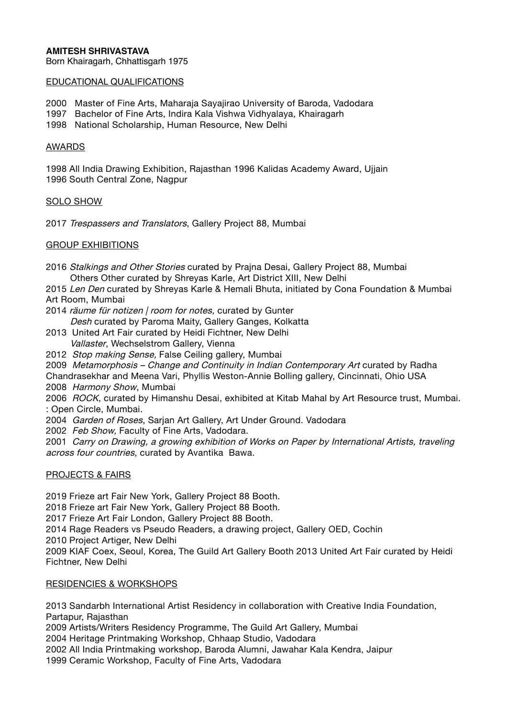## **AMITESH SHRIVASTAVA**

Born Khairagarh, Chhattisgarh 1975

#### EDUCATIONAL QUALIFICATIONS

2000 Master of Fine Arts, Maharaja Sayajirao University of Baroda, Vadodara

1997 Bachelor of Fine Arts, Indira Kala Vishwa Vidhyalaya, Khairagarh

1998 National Scholarship, Human Resource, New Delhi

#### AWARDS

1998 All India Drawing Exhibition, Rajasthan 1996 Kalidas Academy Award, Ujjain 1996 South Central Zone, Nagpur

#### SOLO SHOW

2017 Trespassers and Translators, Gallery Project 88, Mumbai

## GROUP EXHIBITIONS

- 2016 Stalkings and Other Stories curated by Prajna Desai, Gallery Project 88, Mumbai Others Other curated by Shreyas Karle, Art District XIII, New Delhi
- 2015 Len Den curated by Shreyas Karle & Hemali Bhuta, initiated by Cona Foundation & Mumbai Art Room, Mumbai
- 2014 räume für notizen / room for notes, curated by Gunter Desh curated by Paroma Maity, Gallery Ganges, Kolkatta
- 2013 United Art Fair curated by Heidi Fichtner, New Delhi Vallaster, Wechselstrom Gallery, Vienna
- 2012 Stop making Sense, False Ceiling gallery, Mumbai

2009 Metamorphosis – Change and Continuity in Indian Contemporary Art curated by Radha Chandrasekhar and Meena Vari, Phyllis Weston-Annie Bolling gallery, Cincinnati, Ohio USA

2008 Harmony Show, Mumbai

2006 ROCK, curated by Himanshu Desai, exhibited at Kitab Mahal by Art Resource trust, Mumbai. : Open Circle, Mumbai.

2004 Garden of Roses, Sarian Art Gallery, Art Under Ground. Vadodara

2002 Feb Show, Faculty of Fine Arts, Vadodara.

2001 Carry on Drawing, a growing exhibition of Works on Paper by International Artists, traveling across four countries, curated by Avantika Bawa.

## PROJECTS & FAIRS

2019 Frieze art Fair New York, Gallery Project 88 Booth.

2018 Frieze art Fair New York, Gallery Project 88 Booth.

2017 Frieze Art Fair London, Gallery Project 88 Booth.

2014 Rage Readers vs Pseudo Readers, a drawing project, Gallery OED, Cochin

2010 Project Artiger, New Delhi

2009 KIAF Coex, Seoul, Korea, The Guild Art Gallery Booth 2013 United Art Fair curated by Heidi Fichtner, New Delhi

# RESIDENCIES & WORKSHOPS

2013 Sandarbh International Artist Residency in collaboration with Creative India Foundation, Partapur, Rajasthan

2009 Artists/Writers Residency Programme, The Guild Art Gallery, Mumbai

2004 Heritage Printmaking Workshop, Chhaap Studio, Vadodara

2002 All India Printmaking workshop, Baroda Alumni, Jawahar Kala Kendra, Jaipur

1999 Ceramic Workshop, Faculty of Fine Arts, Vadodara